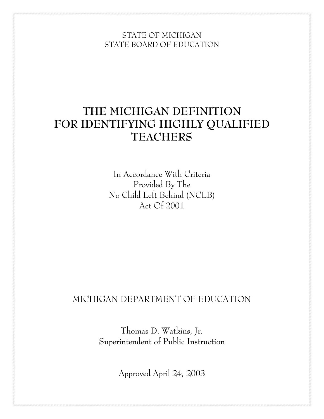STATE OF MICHIGAN STATE BOARD OF EDUCATION

# **THE MICHIGAN DEFINITION FOR IDENTIFYING HIGHLY QUALIFIED TEACHERS**

In Accordance With Criteria Provided By The No Child Left Behind (NCLB) Act Of 2001

# MICHIGAN DEPARTMENT OF EDUCATION

Thomas D. Watkins, Jr. Superintendent of Public Instruction

Approved April 24, 2003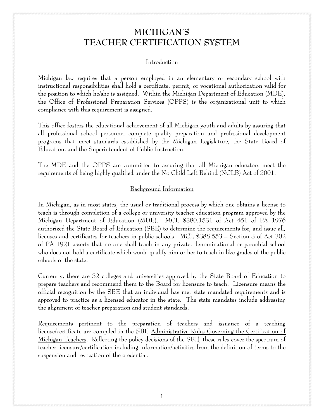# **MICHIGAN'S TEACHER CERTIFICATION SYSTEM**

#### Introduction

Michigan law requires that a person employed in an elementary or secondary school with instructional responsibilities shall hold a certificate, permit, or vocational authorization valid for the position to which he/she is assigned. Within the Michigan Department of Education (MDE), the Office of Professional Preparation Services (OPPS) is the organizational unit to which compliance with this requirement is assigned.

This office fosters the educational achievement of all Michigan youth and adults by assuring that all professional school personnel complete quality preparation and professional development programs that meet standards established by the Michigan Legislature, the State Board of Education, and the Superintendent of Public Instruction.

The MDE and the OPPS are committed to assuring that all Michigan educators meet the requirements of being highly qualified under the No Child Left Behind (NCLB) Act of 2001.

#### Background Information

In Michigan, as in most states, the usual or traditional process by which one obtains a license to teach is through completion of a college or university teacher education program approved by the Michigan Department of Education (MDE). MCL §380.1531 of Act 451 of PA 1976 authorized the State Board of Education (SBE) to determine the requirements for, and issue all, licenses and certificates for teachers in public schools. MCL §388.553 – Section 3 of Act 302 of PA 1921 asserts that no one shall teach in any private, denominational or parochial school who does not hold a certificate which would qualify him or her to teach in like grades of the public schools of the state.

Currently, there are 32 colleges and universities approved by the State Board of Education to prepare teachers and recommend them to the Board for licensure to teach. Licensure means the official recognition by the SBE that an individual has met state mandated requirements and is approved to practice as a licensed educator in the state. The state mandates include addressing the alignment of teacher preparation and student standards.

Requirements pertinent to the preparation of teachers and issuance of a teaching license/certificate are compiled in the SBE Administrative Rules Governing the Certification of Michigan Teachers. Reflecting the policy decisions of the SBE, these rules cover the spectrum of teacher licensure/certification including information/activities from the definition of terms to the suspension and revocation of the credential.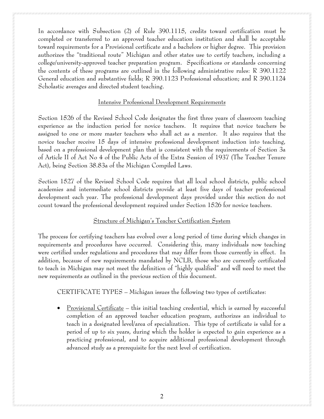In accordance with Subsection (2) of Rule 390.1115, credits toward certification must be completed or transferred to an approved teacher education institution and shall be acceptable toward requirements for a Provisional certificate and a bachelors or higher degree. This provision authorizes the "traditional route" Michigan and other states use to certify teachers, including a college/university-approved teacher preparation program. Specifications or standards concerning the contents of these programs are outlined in the following administrative rules: R 390.1122 General education and substantive fields; R 390.1123 Professional education; and R 390.1124 Scholastic averages and directed student teaching.

#### Intensive Professional Development Requirements

Section 1526 of the Revised School Code designates the first three years of classroom teaching experience as the induction period for novice teachers. It requires that novice teachers be assigned to one or more master teachers who shall act as a mentor. It also requires that the novice teacher receive 15 days of intensive professional development induction into teaching, based on a professional development plan that is consistent with the requirements of Section 3a of Article II of Act No 4 of the Public Acts of the Extra Session of 1937 (The Teacher Tenure Act), being Section 38.83a of the Michigan Compiled Laws.

Section 1527 of the Revised School Code requires that all local school districts, public school academies and intermediate school districts provide at least five days of teacher professional development each year. The professional development days provided under this section do not count toward the professional development required under Section 1526 for novice teachers.

#### Structure of Michigan's Teacher Certification System

The process for certifying teachers has evolved over a long period of time during which changes in requirements and procedures have occurred. Considering this, many individuals now teaching were certified under regulations and procedures that may differ from those currently in effect. In addition, because of new requirements mandated by NCLB, those who are currently certificated to teach in Michigan may not meet the definition of "highly qualified" and will need to meet the new requirements as outlined in the previous section of this document.

CERTIFICATE TYPES – Michigan issues the following two types of certificates:

• Provisional Certificate – this initial teaching credential, which is earned by successful completion of an approved teacher education program, authorizes an individual to teach in a designated level/area of specialization. This type of certificate is valid for a period of up to six years, during which the holder is expected to gain experience as a practicing professional, and to acquire additional professional development through advanced study as a prerequisite for the next level of certification.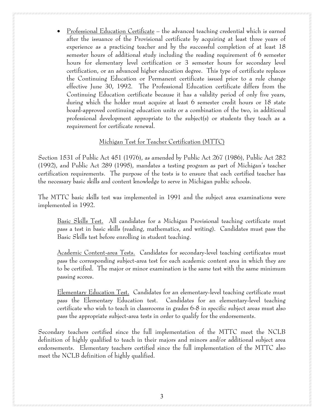• Professional Education Certificate – the advanced teaching credential which is earned after the issuance of the Provisional certificate by acquiring at least three years of experience as a practicing teacher and by the successful completion of at least 18 semester hours of additional study including the reading requirement of 6 semester hours for elementary level certification or 3 semester hours for secondary level certification, or an advanced higher education degree. This type of certificate replaces the Continuing Education or Permanent certificate issued prior to a rule change effective June 30, 1992. The Professional Education certificate differs from the Continuing Education certificate because it has a validity period of only five years, during which the holder must acquire at least 6 semester credit hours or 18 state board-approved continuing education units or a combination of the two, in additional professional development appropriate to the subject(s) or students they teach as a requirement for certificate renewal.

#### Michigan Test for Teacher Certification (MTTC)

Section 1531 of Public Act 451 (1976), as amended by Public Act 267 (1986), Public Act 282 (1992), and Public Act 289 (1995), mandates a testing program as part of Michigan's teacher certification requirements. The purpose of the tests is to ensure that each certified teacher has the necessary basic skills and content knowledge to serve in Michigan public schools.

The MTTC basic skills test was implemented in 1991 and the subject area examinations were implemented in 1992.

Basic Skills Test. All candidates for a Michigan Provisional teaching certificate must pass a test in basic skills (reading, mathematics, and writing). Candidates must pass the Basic Skills test before enrolling in student teaching.

Academic Content-area Tests. Candidates for secondary-level teaching certificates must pass the corresponding subject-area test for each academic content area in which they are to be certified. The major or minor examination is the same test with the same minimum passing scores.

Elementary Education Test. Candidates for an elementary-level teaching certificate must pass the Elementary Education test. Candidates for an elementary-level teaching certificate who wish to teach in classrooms in grades 6-8 in specific subject areas must also pass the appropriate subject-area tests in order to qualify for the endorsements.

Secondary teachers certified since the full implementation of the MTTC meet the NCLB definition of highly qualified to teach in their majors and minors and/or additional subject area endorsements. Elementary teachers certified since the full implementation of the MTTC also meet the NCLB definition of highly qualified.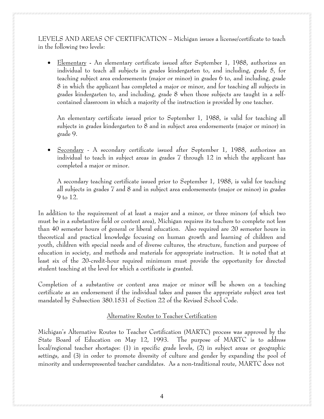LEVELS AND AREAS OF CERTIFICATION – Michigan issues a license/certificate to teach in the following two levels:

• Elementary **-** An elementary certificate issued after September 1, 1988, authorizes an individual to teach all subjects in grades kindergarten to, and including, grade 5, for teaching subject area endorsements (major or minor) in grades 6 to, and including, grade 8 in which the applicant has completed a major or minor, and for teaching all subjects in grades kindergarten to, and including, grade 8 when those subjects are taught in a selfcontained classroom in which a majority of the instruction is provided by one teacher.

An elementary certificate issued prior to September 1, 1988, is valid for teaching all subjects in grades kindergarten to 8 and in subject area endorsements (major or minor) in grade 9.

• Secondary - A secondary certificate issued after September 1, 1988, authorizes an individual to teach in subject areas in grades 7 through 12 in which the applicant has completed a major or minor.

A secondary teaching certificate issued prior to September 1, 1988, is valid for teaching all subjects in grades 7 and 8 and in subject area endorsements (major or minor) in grades 9 to 12.

In addition to the requirement of at least a major and a minor, or three minors (of which two must be in a substantive field or content area), Michigan requires its teachers to complete not less than 40 semester hours of general or liberal education. Also required are 20 semester hours in theoretical and practical knowledge focusing on human growth and learning of children and youth, children with special needs and of diverse cultures, the structure, function and purpose of education in society, and methods and materials for appropriate instruction. It is noted that at least six of the 20-credit-hour required minimum must provide the opportunity for directed student teaching at the level for which a certificate is granted.

Completion of a substantive or content area major or minor will be shown on a teaching certificate as an endorsement if the individual takes and passes the appropriate subject area test mandated by Subsection 380.1531 of Section 22 of the Revised School Code.

#### Alternative Routes to Teacher Certification

Michigan's Alternative Routes to Teacher Certification (MARTC) process was approved by the State Board of Education on May 12, 1993. The purpose of MARTC is to address local/regional teacher shortages: (1) in specific grade levels, (2) in subject areas or geographic settings, and (3) in order to promote diversity of culture and gender by expanding the pool of minority and underrepresented teacher candidates. As a non-traditional route, MARTC does not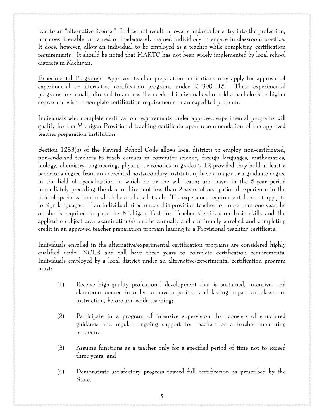lead to an "alternative license." It does not result in lower standards for entry into the profession, nor does it enable untrained or inadequately trained individuals to engage in classroom practice. It does, however, allow an individual to be employed as a teacher while completing certification requirements. It should be noted that MARTC has not been widely implemented by local school districts in Michigan.

Experimental Programs**:** Approved teacher preparation institutions may apply for approval of experimental or alternative certification programs under R 390.115*.* These experimental programs are usually directed to address the needs of individuals who hold a bachelor's or higher degree and wish to complete certification requirements in an expedited program.

Individuals who complete certification requirements under approved experimental programs will qualify for the Michigan Provisional teaching certificate upon recommendation of the approved teacher preparation institution.

Section 1233(b) of the Revised School Code allows local districts to employ non-certificated, non-endorsed teachers to teach courses in computer science, foreign languages, mathematics, biology, chemistry, engineering, physics, or robotics in grades 9-12 provided they hold at least a bachelor's degree from an accredited postsecondary institution; have a major or a graduate degree in the field of specialization in which he or she will teach; and have, in the 5-year period immediately preceding the date of hire, not less than 2 years of occupational experience in the field of specialization in which he or she will teach. The experience requirement does not apply to foreign languages. If an individual hired under this provision teaches for more than one year, he or she is required to pass the Michigan Test for Teacher Certification basic skills and the applicable subject area examination(s) and be annually and continually enrolled and completing credit in an approved teacher preparation program leading to a Provisional teaching certificate.

Individuals enrolled in the alternative/experimental certification programs are considered highly qualified under NCLB and will have three years to complete certification requirements. Individuals employed by a local district under an alternative/experimental certification program must:

- (1) Receive high-quality professional development that is sustained, intensive, and classroom-focused in order to have a positive and lasting impact on classroom instruction, before and while teaching;
- (2) Participate in a program of intensive supervision that consists of structured guidance and regular ongoing support for teachers or a teacher mentoring program;
- (3) Assume functions as a teacher only for a specified period of time not to exceed three years; and
- (4) Demonstrate satisfactory progress toward full certification as prescribed by the State.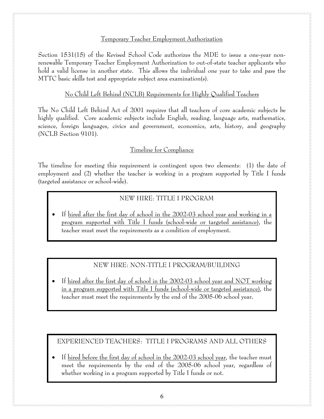#### Temporary Teacher Employment Authorization

Section 1531(15) of the Revised School Code authorizes the MDE to issue a one-year nonrenewable Temporary Teacher Employment Authorization to out-of-state teacher applicants who hold a valid license in another state. This allows the individual one year to take and pass the MTTC basic skills test and appropriate subject area examination(s).

### No Child Left Behind (NCLB) Requirements for Highly Qualified Teachers

The No Child Left Behind Act of 2001 requires that all teachers of core academic subjects be highly qualified. Core academic subjects include English, reading, language arts, mathematics, science, foreign languages, civics and government, economics, arts, history, and geography (NCLB Section 9101).

## Timeline for Compliance

The timeline for meeting this requirement is contingent upon two elements: (1) the date of employment and (2) whether the teacher is working in a program supported by Title I funds (targeted assistance or school-wide).

# NEW HIRE: TITLE I PROGRAM

• If hired after the first day of school in the 2002-03 school year and working in a program supported with Title I funds (school-wide or targeted assistance), the teacher must meet the requirements as a condition of employment.

# NEW HIRE: NON-TITLE I PROGRAM/BUILDING

• If hired after the first day of school in the 2002-03 school year and NOT working in a program supported with Title I funds (school-wide or targeted assistance), the teacher must meet the requirements by the end of the 2005-06 school year**.** 

# EXPERIENCED TEACHERS: TITLE I PROGRAMS AND ALL OTHERS

• If hired before the first day of school in the  $2002-03$  school year, the teacher must meet the requirements by the end of the 2005-06 school year, regardless of whether working in a program supported by Title I funds or not.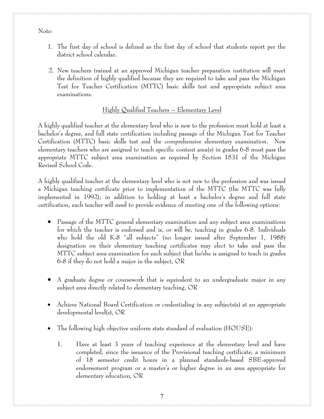#### Note:

- 1. The first day of school is defined as the first day of school that students report per the district school calendar.
- 2. New teachers trained at an approved Michigan teacher preparation institution will meet the definition of highly qualified because they are required to take and pass the Michigan Test for Teacher Certification (MTTC) basic skills test and appropriate subject area examinations.

### Highly Qualified Teachers -- Elementary Level

A highly qualified teacher at the elementary level who is new to the profession must hold at least a bachelor's degree, and full state certification including passage of the Michigan Test for Teacher Certification (MTTC) basic skills test and the comprehensive elementary examination. New elementary teachers who are assigned to teach specific content area(s) in grades 6-8 must pass the appropriate MTTC subject area examination as required by Section 1531 of the Michigan Revised School Code.

A highly qualified teacher at the elementary level who is not new to the profession and was issued a Michigan teaching certificate prior to implementation of the MTTC (the MTTC was fully implemented in 1992); in addition to holding at least a bachelor's degree and full state certification, each teacher will need to provide evidence of meeting one of the following options:

- Passage of the MTTC general elementary examination and any subject area examinations for which the teacher is endorsed and is, or will be, teaching in grades 6-8. Individuals who hold the old K-8 "all subjects" (no longer issued after September 1, 1988) designation on their elementary teaching certificates may elect to take and pass the MTTC subject area examination for each subject that he/she is assigned to teach in grades 6-8 if they do not hold a major in the subject, OR
- A graduate degree or coursework that is equivalent to an undergraduate major in any subject area directly related to elementary teaching, OR
- Achieve National Board Certification or credentialing in any subjects(s) at an appropriate developmental level(s), OR
- The following high objective uniform state standard of evaluation (HOUSE):
	- 1. Have at least 3 years of teaching experience at the elementary level and have completed, since the issuance of the Provisional teaching certificate, a minimum of 18 semester credit hours in a planned standards-based SBE-approved endorsement program or a master's or higher degree in an area appropriate for elementary education, OR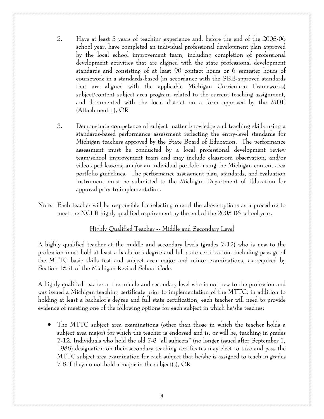- 2. Have at least 3 years of teaching experience and, before the end of the 2005-06 school year, have completed an individual professional development plan approved by the local school improvement team, including completion of professional development activities that are aligned with the state professional development standards and consisting of at least 90 contact hours or 6 semester hours of coursework in a standards-based (in accordance with the SBE-approved standards that are aligned with the applicable Michigan Curriculum Frameworks) subject/content subject area program related to the current teaching assignment, and documented with the local district on a form approved by the MDE (Attachment 1), OR
- 3. Demonstrate competence of subject matter knowledge and teaching skills using a standards-based performance assessment reflecting the entry-level standards for Michigan teachers approved by the State Board of Education. The performance assessment must be conducted by a local professional development review team/school improvement team and may include classroom observation, and/or videotaped lessons, and/or an individual portfolio using the Michigan content area portfolio guidelines. The performance assessment plan, standards, and evaluation instrument must be submitted to the Michigan Department of Education for approval prior to implementation.
- Note: Each teacher will be responsible for selecting one of the above options as a procedure to meet the NCLB highly qualified requirement by the end of the 2005-06 school year**.**

### Highly Qualified Teacher -- Middle and Secondary Level

A highly qualified teacher at the middle and secondary levels (grades 7-12) who is new to the profession must hold at least a bachelor's degree and full state certification, including passage of the MTTC basic skills test and subject area major and minor examinations, as required by Section 1531 of the Michigan Revised School Code.

A highly qualified teacher at the middle and secondary level who is not new to the profession and was issued a Michigan teaching certificate prior to implementation of the MTTC; in addition to holding at least a bachelor's degree and full state certification, each teacher will need to provide evidence of meeting one of the following options for each subject in which he/she teaches:

• The MTTC subject area examinations (other than those in which the teacher holds a subject area major) for which the teacher is endorsed and is, or will be, teaching in grades 7-12. Individuals who hold the old 7-8 "all subjects" (no longer issued after September 1, 1988) designation on their secondary teaching certificates may elect to take and pass the MTTC subject area examination for each subject that he/she is assigned to teach in grades 7-8 if they do not hold a major in the subject(s), OR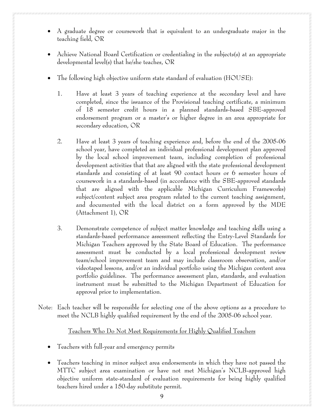- 
- A graduate degree or coursework that is equivalent to an undergraduate major in the teaching field, OR
- Achieve National Board Certification or credentialing in the subjects(s) at an appropriate developmental level(s) that he/she teaches, OR
- The following high objective uniform state standard of evaluation (HOUSE):
	- 1. Have at least 3 years of teaching experience at the secondary level and have completed, since the issuance of the Provisional teaching certificate, a minimum of 18 semester credit hours in a planned standards-based SBE-approved endorsement program or a master's or higher degree in an area appropriate for secondary education, OR
	- 2. Have at least 3 years of teaching experience and, before the end of the 2005-06 school year, have completed an individual professional development plan approved by the local school improvement team, including completion of professional development activities that that are aligned with the state professional development standards and consisting of at least 90 contact hours or 6 semester hours of coursework in a standards-based (in accordance with the SBE-approved standards that are aligned with the applicable Michigan Curriculum Frameworks) subject/content subject area program related to the current teaching assignment, and documented with the local district on a form approved by the MDE (Attachment 1), OR
	- 3. Demonstrate competence of subject matter knowledge and teaching skills using a standards-based performance assessment reflecting the Entry-Level Standards for Michigan Teachers approved by the State Board of Education. The performance assessment must be conducted by a local professional development review team/school improvement team and may include classroom observation, and/or videotaped lessons, and/or an individual portfolio using the Michigan content area portfolio guidelines. The performance assessment plan, standards, and evaluation instrument must be submitted to the Michigan Department of Education for approval prior to implementation.
- Note: Each teacher will be responsible for selecting one of the above options as a procedure to meet the NCLB highly qualified requirement by the end of the 2005-06 school year.

Teachers Who Do Not Meet Requirements for Highly Qualified Teachers

- Teachers with full-year and emergency permits
- Teachers teaching in minor subject area endorsements in which they have not passed the MTTC subject area examination or have not met Michigan's NCLB-approved high objective uniform state-standard of evaluation requirements for being highly qualified teachers hired under a 150-day substitute permit*.*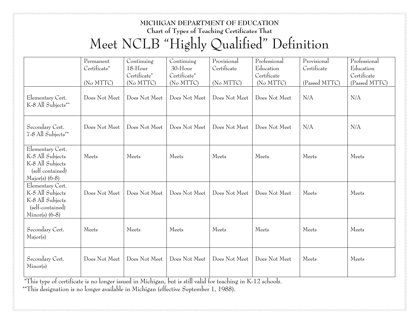# **MICHIGAN DEPARTMENT OF EDUCATION Chart of Types of Teaching Certificates That**  Meet NCLB "Highly Qualified" Definition

|                                                                                                  | Permanent<br>Certificate*<br>(No MTTC) | Continuing<br>18-Hour<br>Certificate*<br>(No MTTC) | Continuing<br>30-Hour<br>Certificate*<br>(No MTTC) | Provisional<br>Certificate<br>(No MTTC) | Professional<br>Education<br>Certificate<br>(No MTTC) | Provisional<br>Certificate<br>(Passed MTTC) | Professional<br>Education<br>Certificate<br>(Passed MTTC) |
|--------------------------------------------------------------------------------------------------|----------------------------------------|----------------------------------------------------|----------------------------------------------------|-----------------------------------------|-------------------------------------------------------|---------------------------------------------|-----------------------------------------------------------|
| Elementary Cert.<br>K-8 All Subjects**                                                           | Does Not Meet                          | Does Not Meet                                      | Does Not Meet                                      | Does Not Meet                           | Does Not Meet                                         | N/A                                         | N/A                                                       |
| Secondary Cert.<br>7-8 All Subjects**                                                            | Does Not Meet                          | Does Not Meet                                      | Does Not Meet                                      | Does Not Meet                           | Does Not Meet                                         | N/A                                         | N/A                                                       |
| Elementary Cert.<br>K-5 All Subjects<br>K-8 All Subjects<br>(self contained)<br>$Major(s)$ (6-8) | Meets                                  | Meets                                              | Meets                                              | Meets                                   | Meets                                                 | Meets                                       | Meets                                                     |
| Elementary Cert.<br>K-5 All Subjects<br>K-8 All Subjects<br>(self-contained)<br>$Minor(s)$ (6-8) | Does Not Meet                          | Does Not Meet                                      | Does Not Meet                                      | Does Not Meet                           | Does Not Meet                                         | Meets                                       | Meets                                                     |
| Secondary Cert.<br>Major(s)                                                                      | Meets                                  | Meets                                              | Meets                                              | Meets                                   | Meets                                                 | Meets                                       | Meets                                                     |
| Secondary Cert.<br>Minor(s)                                                                      | Does Not Meet                          | Does Not Meet                                      | Does Not Meet                                      | Does Not Meet                           | Does Not Meet                                         | Meets                                       | Meets                                                     |

 \*This type of certificate is no longer issued in Michigan, but is still valid for teaching in K-12 schools. \*\*This designation is no longer available in Michigan (effective September 1, 1988).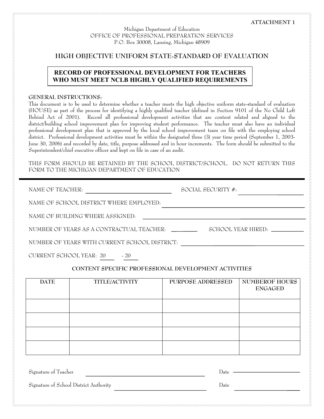Michigan Department of Education OFFICE OF PROFESSIONAL PREPARATION SERVICES P.O. Box 30008, Lansing, Michigan 48909

#### **HIGH OBJECTIVE UNIFORM STATE-STANDARD OF EVALUATION**

#### **RECORD OF PROFESSIONAL DEVELOPMENT FOR TEACHERS WHO MUST MEET NCLB HIGHLY QUALIFIED REQUIREMENTS**

#### **GENERAL INSTRUCTIONS:**

This document is to be used to determine whether a teacher meets the high objective uniform state-standard of evaluation (HOUSE) as part of the process for identifying a highly qualified teacher (defined in Section 9101 of the No Child Left Behind Act of 2001). Record all professional development activities that are content related and aligned to the district/building school improvement plan for improving student performance. The teacher must also have an individual professional development plan that is approved by the local school improvement team on file with the employing school district. Professional development activities must be within the designated three (3) year time period (September 1, 2003- June 30, 2006) and recorded by date, title, purpose addressed and in hour increments. The form should be submitted to the Superintendent/chief executive officer and kept on file in case of an audit.

THIS FORM SHOULD BE RETAINED BY THE SCHOOL DISTRICT/SCHOOL. DO NOT RETURN THIS FORM TO THE MICHIGAN DEPARTMENT OF EDUCATION

| NAME OF TEACHER:                                     |                | SOCIAL SECURITY $#$ . |                                         |  |  |
|------------------------------------------------------|----------------|-----------------------|-----------------------------------------|--|--|
| NAME OF SCHOOL DISTRICT WHERE EMPLOYED:              |                |                       |                                         |  |  |
| NAME OF BUILDING WHERE ASSIGNED:                     |                |                       |                                         |  |  |
| NUMBER OF YEARS AS A CONTRACTUAL TEACHER:            |                |                       |                                         |  |  |
| NUMBER OF YEARS WITH CURRENT SCHOOL DISTRICT.        |                |                       |                                         |  |  |
| CURRENT SCHOOL YEAR: 20<br>$-20$                     |                |                       |                                         |  |  |
| CONTENT SPECIFIC PROFESSIONAL DEVELOPMENT ACTIVITIES |                |                       |                                         |  |  |
| <b>DATE</b>                                          | TITLE/ACTIVITY | PURPOSE ADDRESSED     | <b>NUMBEROF HOURS</b><br><b>ENGAGED</b> |  |  |
|                                                      |                |                       |                                         |  |  |

Signature of Teacher Date

Signature of School District Authority Date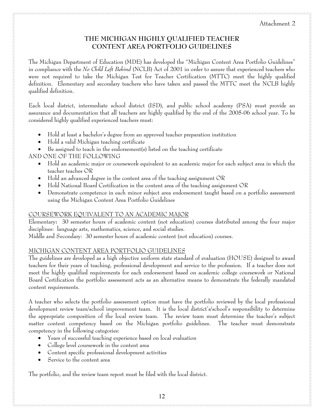# **THE MICHIGAN HIGHLY QUALIFIED TEACHER CONTENT AREA PORTFOLIO GUIDELINES**

The Michigan Department of Education (MDE) has developed the "Michigan Content Area Portfolio Guidelines" in compliance with the *No Child Left Behind* (NCLB) Act of 2001 in order to assure that experienced teachers who were not required to take the Michigan Test for Teacher Certification (MTTC) meet the highly qualified definition. Elementary and secondary teachers who have taken and passed the MTTC meet the NCLB highly qualified definition.

Each local district, intermediate school district (ISD), and public school academy (PSA) must provide an assurance and documentation that all teachers are highly qualified by the end of the 2005-06 school year. To be considered highly qualified experienced teachers must:

- Hold at least a bachelor's degree from an approved teacher preparation institution
- Hold a valid Michigan teaching certificate
- Be assigned to teach in the endorsement(s) listed on the teaching certificate

AND ONE OF THE FOLLOWING

- Hold an academic major or coursework equivalent to an academic major for each subject area in which the teacher teaches OR
- Hold an advanced degree in the content area of the teaching assignment OR
- Hold National Board Certification in the content area of the teaching assignment OR
- Demonstrate competence in each minor subject area endorsement taught based on a portfolio assessment using the Michigan Content Area Portfolio Guidelines

### COURSEWORK EQUIVALENT TO AN ACADEMIC MAJOR

Elementary**:** 30 semester hours of academic content (not education) courses distributed among the four major disciplines: language arts, mathematics, science, and social studies.

Middle and Secondary: 30 semester hours of academic content (not education) courses.

### MICHIGAN CONTENT AREA PORTFOLIO GUIDELINES

The guidelines are developed as a high objective uniform state standard of evaluation (HOUSE) designed to award teachers for their years of teaching, professional development and service to the profession. If a teacher does not meet the highly qualified requirements for each endorsement based on academic college coursework or National Board Certification the portfolio assessment acts as an alternative means to demonstrate the federally mandated content requirements.

A teacher who selects the portfolio assessment option must have the portfolio reviewed by the local professional development review team/school improvement team. It is the local district's/school's responsibility to determine the appropriate composition of the local review team. The review team must determine the teacher's subject matter content competency based on the Michigan portfolio guidelines. The teacher must demonstrate competency in the following categories:

- Years of successful teaching experience based on local evaluation
- College level coursework in the content area
- Content specific professional development activities
- Service to the content area

The portfolio, and the review team report must be filed with the local district.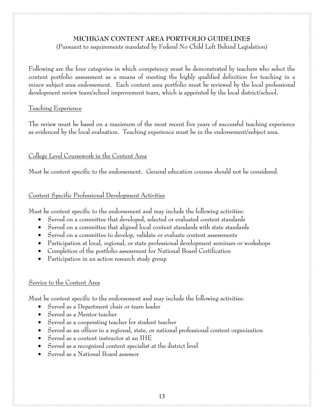#### **MICHIGAN CONTENT AREA PORTFOLIO GUIDELINES**

(Pursuant to requirements mandated by Federal No Child Left Behind Legislation)

Following are the four categories in which competency must be demonstrated by teachers who select the content portfolio assessment as a means of meeting the highly qualified definition for teaching in a minor subject area endorsement. Each content area portfolio must be reviewed by the local professional development review team/school improvement team, which is appointed by the local district/school.

#### Teaching Experience

The review must be based on a maximum of the most recent five years of successful teaching experience as evidenced by the local evaluation. Teaching experience must be in the endorsement/subject area.

# College Level Coursework in the Content Area

Must be content specific to the endorsement. General education courses should not be considered.

### Content Specific Professional Development Activities

Must be content specific to the endorsement and may include the following activities:

- Served on a committee that developed, selected or evaluated content standards
- Served on a committee that aligned local content standards with state standards
- Served on a committee to develop, validate or evaluate content assessments
- Participation at local, regional, or state professional development seminars or workshops
- Completion of the portfolio assessment for National Board Certification
- Participation in an action research study group

### Service to the Content Area

Must be content specific to the endorsement and may include the following activities:

- Served as a Department chair or team leader
- Served as a Mentor teacher
- Served as a cooperating teacher for student teacher
- Served as an officer in a regional, state, or national professional content organization
- Served as a content instructor at an IHE
- Served as a recognized content specialist at the district level
- Served as a National Board assessor